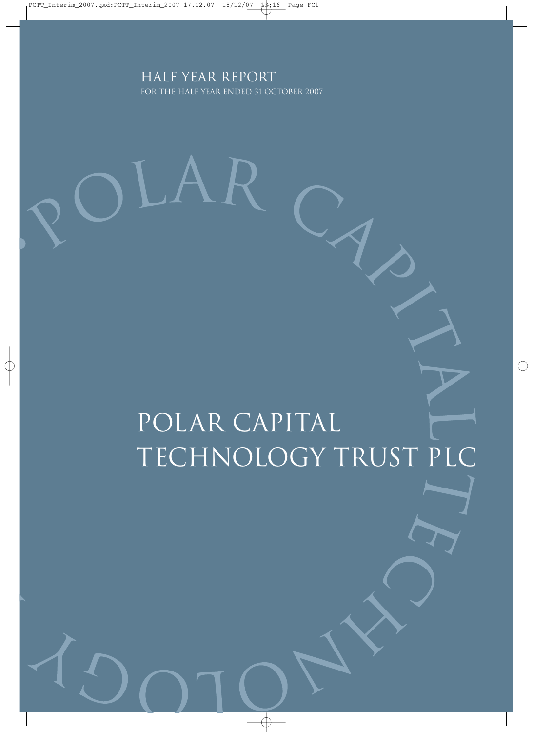### Half Year report for the half year ended 31 october 2007

 $R$ 

# POLAR CAPITAL Technology Trust PLC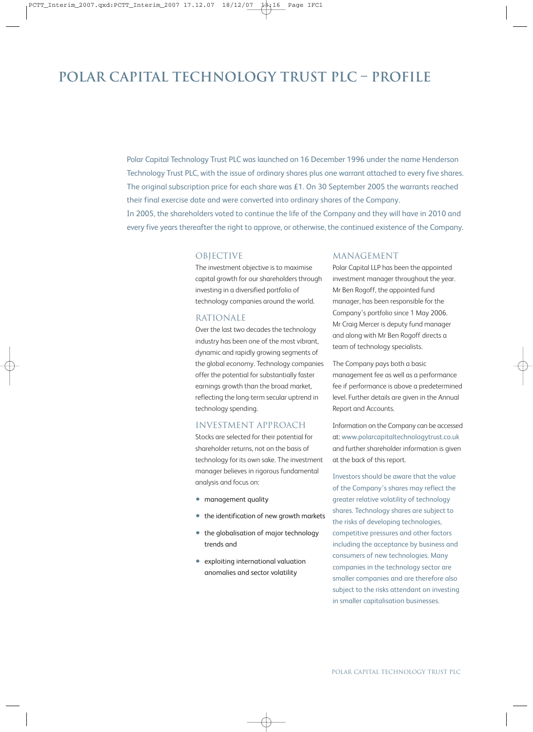### **Polar Capital Technology Trust Plc – ProfilE**

Polar Capital Technology Trust PLC was launched on 16 December 1996 under the name Henderson Technology Trust PLC, with the issue of ordinary shares plus one warrant attached to every five shares. The original subscription price for each share was £1. On 30 September 2005 the warrants reached their final exercise date and were converted into ordinary shares of the Company. In 2005, the shareholders voted to continue the life of the Company and they will have in 2010 and

every five years thereafter the right to approve, or otherwise, the continued existence of the Company.

#### OBJECTIVE

The investment objective is to maximise capital growth for our shareholders through investing in a diversified portfolio of technology companies around the world.

#### RATIONALE

Over the last two decades the technology industry has been one of the most vibrant, dynamic and rapidly growing segments of the global economy. Technology companies offer the potential for substantially faster earnings growth than the broad market, reflecting the long-term secular uptrend in technology spending.

#### INVESTMENT APPROACH

Stocks are selected for their potential for shareholder returns, not on the basis of technology for its own sake. The investment manager believes in rigorous fundamental analysis and focus on:

- management quality
- the identification of new growth markets
- the globalisation of major technology trends and
- exploiting international valuation anomalies and sector volatility

#### MANAGEMENT

Polar Capital LLP has been the appointed investment manager throughout the year. Mr Ben Rogoff, the appointed fund manager, has been responsible for the Company's portfolio since 1 May 2006. Mr Craig Mercer is deputy fund manager and along with Mr Ben Rogoff directs a team of technology specialists.

The Company pays both a basic management fee as well as a performance fee if performance is above a predetermined level. Further details are given in the Annual Report and Accounts.

Information on the Company can be accessed at: www.polarcapitaltechnologytrust.co.uk and further shareholder information is given at the back of this report.

Investors should be aware that the value of the Company's shares may reflect the greater relative volatility of technology shares. Technology shares are subject to the risks of developing technologies, competitive pressures and other factors including the acceptance by business and consumers of new technologies. Many companies in the technology sector are smaller companies and are therefore also subject to the risks attendant on investing in smaller capitalisation businesses.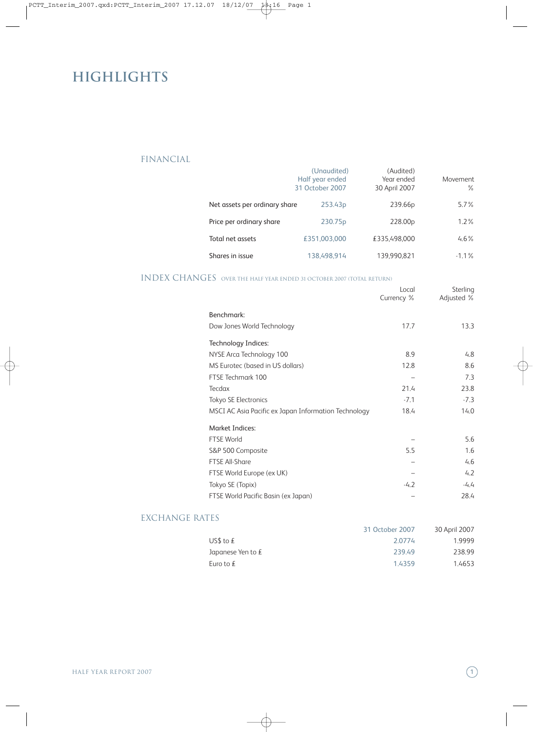# **Highlights**

#### FINANCIAL

|                               | (Unaudited)<br>Half year ended<br>31 October 2007 | (Audited)<br>Year ended<br>30 April 2007 | Movement<br>℅ |
|-------------------------------|---------------------------------------------------|------------------------------------------|---------------|
| Net assets per ordinary share | 253.43 <sub>p</sub>                               | 239.66p                                  | $5.7\%$       |
| Price per ordinary share      | 230.75 <sub>p</sub>                               | 228.00p                                  | $1.2\%$       |
| Total net assets              | £351.003.000                                      | £335.498.000                             | $4.6\%$       |
| Shares in issue               | 138.498.914                                       | 139.990.821                              | $-1.1\%$      |

#### INDEX CHANGES over the half year ended <sup>31</sup> october <sup>2007</sup> (Total Return)

|                                                      | Local<br>Currency % | Sterling<br>Adjusted % |
|------------------------------------------------------|---------------------|------------------------|
| Benchmark:                                           |                     |                        |
| Dow Jones World Technology                           | 17.7                | 13.3                   |
| Technology Indices:                                  |                     |                        |
| NYSE Arca Technology 100                             | 8.9                 | 4.8                    |
| MS Eurotec (based in US dollars)                     | 12.8                | 8.6                    |
| FTSE Techmark 100                                    |                     | 7.3                    |
| Tecdax                                               | 21.4                | 23.8                   |
| <b>Tokyo SE Electronics</b>                          | $-7.1$              | $-7.3$                 |
| MSCI AC Asia Pacific ex Japan Information Technology | 18.4                | 14.0                   |
| <b>Market Indices:</b>                               |                     |                        |
| <b>FTSE World</b>                                    |                     | 5.6                    |
| S&P 500 Composite                                    | 5.5                 | 1.6                    |
| <b>FTSE All-Share</b>                                |                     | 4.6                    |
| FTSE World Europe (ex UK)                            |                     | 4.2                    |
| Tokyo SE (Topix)                                     | $-4.2$              | $-4.4$                 |
| FTSE World Pacific Basin (ex Japan)                  |                     | 28.4                   |

#### EXCHANGE RATES

|                     | 31 October 2007 | 30 April 2007 |
|---------------------|-----------------|---------------|
| US\$ to $f$         | 2.0774          | 19999         |
| Japanese Yen to $f$ | 239.49          | 238.99        |
| Euro to $f$         | 1.4359          | 1.4653        |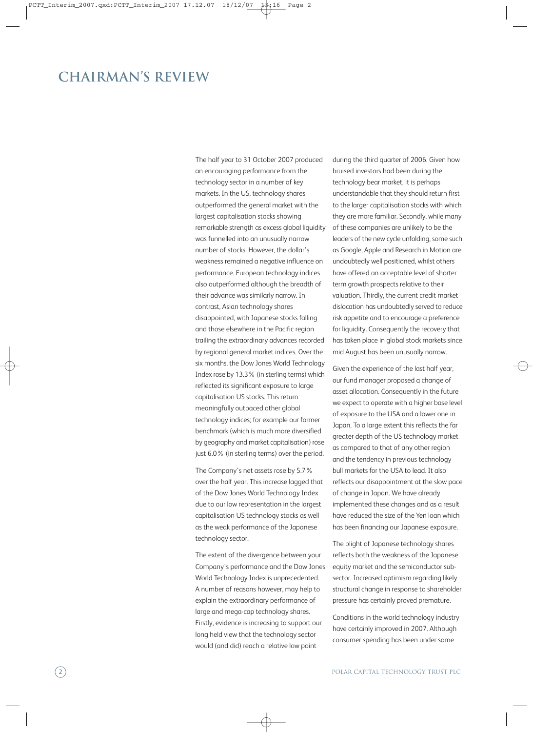### **Chairman's review**

The half year to 31 October 2007 produced an encouraging performance from the technology sector in a number of key markets. In the US, technology shares outperformed the general market with the largest capitalisation stocks showing remarkable strength as excess global liquidity was funnelled into an unusually narrow number of stocks. However, the dollar's weakness remained a negative influence on performance. European technology indices also outperformed although the breadth of their advance was similarly narrow. In contrast, Asian technology shares disappointed, with Japanese stocks falling and those elsewhere in the Pacific region trailing the extraordinary advances recorded by regional general market indices. Over the six months, the Dow Jones World Technology Index rose by 13.3% (in sterling terms) which reflected its significant exposure to large capitalisation US stocks. This return meaningfully outpaced other global technology indices; for example our former benchmark (which is much more diversified by geography and market capitalisation) rose just 6.0% (in sterling terms) over the period.

The Company's net assets rose by 5.7% over the half year. This increase lagged that of the Dow Jones World Technology Index due to our low representation in the largest capitalisation US technology stocks as well as the weak performance of the Japanese technology sector.

The extent of the divergence between your Company's performance and the Dow Jones World Technology Index is unprecedented. A number of reasons however, may help to explain the extraordinary performance of large and mega-cap technology shares. Firstly, evidence is increasing to support our long held view that the technology sector would (and did) reach a relative low point

during the third quarter of 2006. Given how bruised investors had been during the technology bear market, it is perhaps understandable that they should return first to the larger capitalisation stocks with which they are more familiar. Secondly, while many of these companies are unlikely to be the leaders of the new cycle unfolding, some such as Google, Apple and Research in Motion are undoubtedly well positioned, whilst others have offered an acceptable level of shorter term growth prospects relative to their valuation. Thirdly, the current credit market dislocation has undoubtedly served to reduce risk appetite and to encourage a preference for liquidity. Consequently the recovery that has taken place in global stock markets since mid August has been unusually narrow.

Given the experience of the last half year, our fund manager proposed a change of asset allocation. Consequently in the future we expect to operate with a higher base level of exposure to the USA and a lower one in Japan. To a large extent this reflects the far greater depth of the US technology market as compared to that of any other region and the tendency in previous technology bull markets for the USA to lead. It also reflects our disappointment at the slow pace of change in Japan. We have already implemented these changes and as a result have reduced the size of the Yen loan which has been financing our Japanese exposure.

The plight of Japanese technology shares reflects both the weakness of the Japanese equity market and the semiconductor subsector. Increased optimism regarding likely structural change in response to shareholder pressure has certainly proved premature.

Conditions in the world technology industry have certainly improved in 2007. Although consumer spending has been under some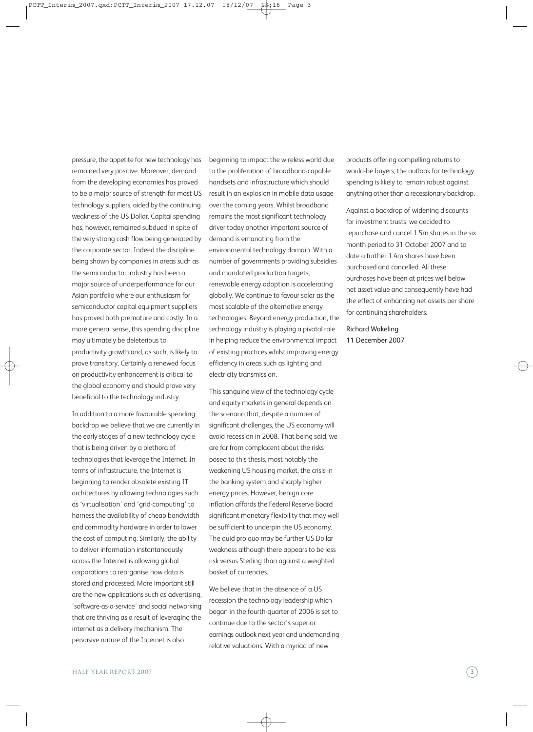pressure, the appetite for new technology has remained very positive. Moreover, demand from the developing economies has proved to be a major source of strength for most US technology suppliers, aided by the continuing weakness of the US Dollar. Capital spending has, however, remained subdued in spite of the very strong cash flow being generated by the corporate sector. Indeed the discipline being shown by companies in areas such as the semiconductor industry has been a major source of underperformance for our Asian portfolio where our enthusiasm for semiconductor capital equipment suppliers has proved both premature and costly. In a more general sense, this spending discipline may ultimately be deleterious to productivity growth and, as such, is likely to prove transitory. Certainly a renewed focus on productivity enhancement is critical to the global economy and should prove very beneficial to the technology industry.

In addition to a more favourable spending backdrop we believe that we are currently in the early stages of a new technology cycle that is being driven by a plethora of technologies that leverage the Internet. In terms of infrastructure, the Internet is beginning to render obsolete existing IT architectures by allowing technologies such as 'virtualisation' and 'grid-computing' to harness the availability of cheap bandwidth and commodity hardware in order to lower the cost of computing. Similarly, the ability to deliver information instantaneously across the Internet is allowing global corporations to reorganise how data is stored and processed. More important still are the new applications such as advertising, 'software-as-a-service' and social networking that are thriving as a result of leveraging the internet as a delivery mechanism. The pervasive nature of the Internet is also

beginning to impact the wireless world due to the proliferation of broadband-capable handsets and infrastructure which should result in an explosion in mobile data usage over the coming years. Whilst broadband remains the most significant technology driver today another important source of demand is emanating from the environmental technology domain. With a number of governments providing subsidies and mandated production targets, renewable energy adoption is accelerating globally. We continue to favour solar as the most scalable of the alternative energy technologies. Beyond energy production, the technology industry is playing a pivotal role in helping reduce the environmental impact of existing practices whilst improving energy efficiency in areas such as lighting and electricity transmission.

This sanguine view of the technology cycle and equity markets in general depends on the scenario that, despite a number of significant challenges, the US economy will avoid recession in 2008. That being said, we are far from complacent about the risks posed to this thesis, most notably the weakening US housing market, the crisis in the banking system and sharply higher energy prices. However, benign core inflation affords the Federal Reserve Board significant monetary flexibility that may well be sufficient to underpin the US economy. The quid pro quo may be further US Dollar weakness although there appears to be less risk versus Sterling than against a weighted basket of currencies.

We believe that in the absence of a US recession the technology leadership which began in the fourth-quarter of 2006 is set to continue due to the sector's superior earnings outlook next year and undemanding relative valuations. With a myriad of new

products offering compelling returns to would-be buyers, the outlook for technology spending is likely to remain robust against anything other than a recessionary backdrop.

Against a backdrop of widening discounts for investment trusts, we decided to repurchase and cancel 1.5m shares in the six month period to 31 October 2007 and to date a further 1.4m shares have been purchased and cancelled. All these purchases have been at prices well below net asset value and consequently have had the effect of enhancing net assets per share for continuing shareholders.

Richard Wakeling 11 December 2007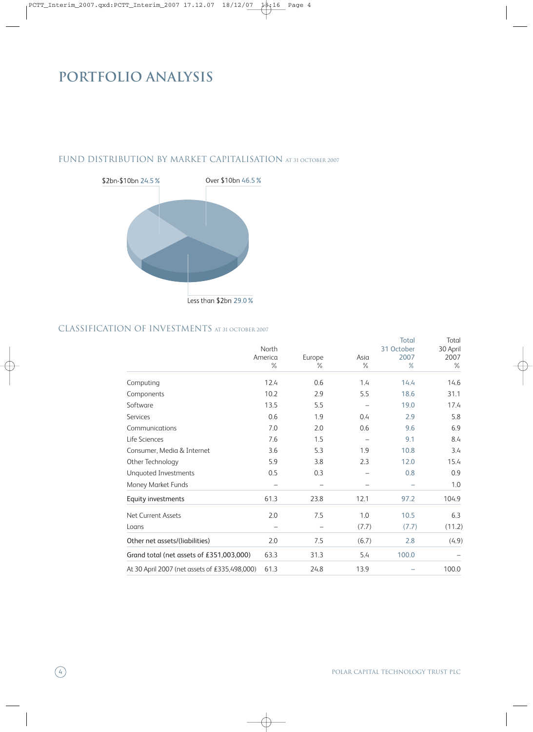# **PORTFOLIO ANALYSIS**

#### FUND DISTRIBUTION BY MARKET CAPITALISATION AT 31 OCTOBER 2007



#### CLASSIFICATION OF INVESTMENTS at <sup>31</sup> october <sup>2007</sup>

|                                               | North           |                |              | Total<br>31 October | Total<br>30 April |
|-----------------------------------------------|-----------------|----------------|--------------|---------------------|-------------------|
|                                               | America<br>$\%$ | Europe<br>$\%$ | Asia<br>$\%$ | 2007<br>$\%$        | 2007<br>$\%$      |
| Computing                                     | 12.4            | 0.6            | 1.4          | 14.4                | 14.6              |
| Components                                    | 10.2            | 2.9            | 5.5          | 18.6                | 31.1              |
| Software                                      | 13.5            | 5.5            |              | 19.0                | 17.4              |
| <b>Services</b>                               | 0.6             | 1.9            | 0.4          | 2.9                 | 5.8               |
| Communications                                | 7.0             | 2.0            | 0.6          | 9.6                 | 6.9               |
| Life Sciences                                 | 7.6             | 1.5            |              | 9.1                 | 8.4               |
| Consumer, Media & Internet                    | 3.6             | 5.3            | 1.9          | 10.8                | 3.4               |
| Other Technology                              | 5.9             | 3.8            | 2.3          | 12.0                | 15.4              |
| Unquoted Investments                          | 0.5             | 0.3            |              | 0.8                 | 0.9               |
| Money Market Funds                            |                 |                |              |                     | 1.0               |
| Equity investments                            | 61.3            | 23.8           | 12.1         | 97.2                | 104.9             |
| Net Current Assets                            | 2.0             | 7.5            | 1.0          | 10.5                | 6.3               |
| Loans                                         |                 |                | (7.7)        | (7.7)               | (11.2)            |
| Other net assets/(liabilities)                | 2.0             | 7.5            | (6.7)        | 2.8                 | (4.9)             |
| Grand total (net assets of £351,003,000)      | 63.3            | 31.3           | 5.4          | 100.0               |                   |
| At 30 April 2007 (net assets of £335,498,000) | 61.3            | 24.8           | 13.9         |                     | 100.0             |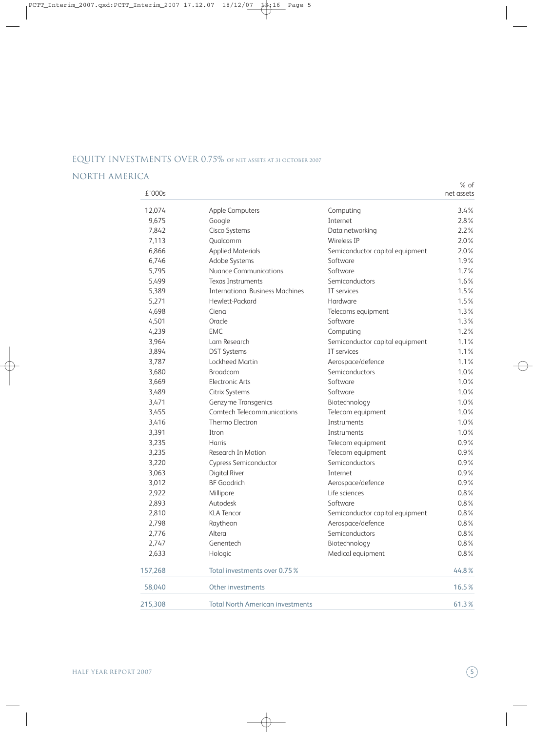#### EQUITY INVESTMENTS OVER 0.75% of net assets at <sup>31</sup> october <sup>2007</sup>

#### NORTH AMERICA

% of

| £'000s  |                                         |                                 | net assets |
|---------|-----------------------------------------|---------------------------------|------------|
| 12,074  | Apple Computers                         | Computing                       | 3.4%       |
| 9,675   | Google                                  | Internet                        | 2.8%       |
| 7,842   | Cisco Systems                           | Data networking                 | 2.2%       |
| 7,113   | Qualcomm                                | Wireless IP                     | 2.0%       |
| 6,866   | <b>Applied Materials</b>                | Semiconductor capital equipment | 2.0%       |
| 6,746   | Adobe Systems                           | Software                        | 1.9%       |
| 5,795   | <b>Nuance Communications</b>            | Software                        | 1.7%       |
| 5,499   | Texas Instruments                       | Semiconductors                  | 1.6%       |
| 5,389   | <b>International Business Machines</b>  | IT services                     | 1.5%       |
| 5,271   | Hewlett-Packard                         | Hardware                        | 1.5%       |
| 4,698   | Ciena                                   | Telecoms equipment              | 1.3%       |
| 4,501   | Oracle                                  | Software                        | 1.3%       |
| 4,239   | <b>EMC</b>                              | Computing                       | 1.2%       |
| 3,964   | Lam Research                            | Semiconductor capital equipment | 1.1%       |
| 3,894   | <b>DST Systems</b>                      | IT services                     | 1.1%       |
| 3,787   | Lockheed Martin                         | Aerospace/defence               | 1.1%       |
| 3,680   | <b>Broadcom</b>                         | Semiconductors                  | 1.0%       |
| 3,669   | <b>Electronic Arts</b>                  | Software                        | 1.0%       |
| 3,489   | Citrix Systems                          | Software                        | 1.0%       |
| 3,471   | Genzyme Transgenics                     | Biotechnology                   | 1.0%       |
| 3,455   | <b>Comtech Telecommunications</b>       | Telecom equipment               | 1.0%       |
| 3,416   | Thermo Electron                         | Instruments                     | 1.0%       |
| 3,391   | Itron                                   | Instruments                     | 1.0%       |
| 3,235   | Harris                                  | Telecom equipment               | 0.9%       |
| 3,235   | Research In Motion                      | Telecom equipment               | 0.9%       |
| 3,220   | Cypress Semiconductor                   | Semiconductors                  | 0.9%       |
| 3,063   | <b>Digital River</b>                    | Internet                        | 0.9%       |
| 3,012   | <b>BF</b> Goodrich                      | Aerospace/defence               | 0.9%       |
| 2,922   | Millipore                               | Life sciences                   | $0.8\%$    |
| 2,893   | Autodesk                                | Software                        | 0.8%       |
| 2,810   | <b>KLA Tencor</b>                       | Semiconductor capital equipment | 0.8%       |
| 2,798   | Raytheon                                | Aerospace/defence               | 0.8%       |
| 2,776   | Altera                                  | Semiconductors                  | $0.8\%$    |
| 2,747   | Genentech                               | Biotechnology                   | 0.8%       |
| 2,633   | Hologic                                 | Medical equipment               | 0.8%       |
| 157,268 | Total investments over 0.75 %           |                                 | 44.8%      |
| 58,040  | Other investments                       |                                 | 16.5%      |
| 215,308 | <b>Total North American investments</b> |                                 | 61.3%      |
|         |                                         |                                 |            |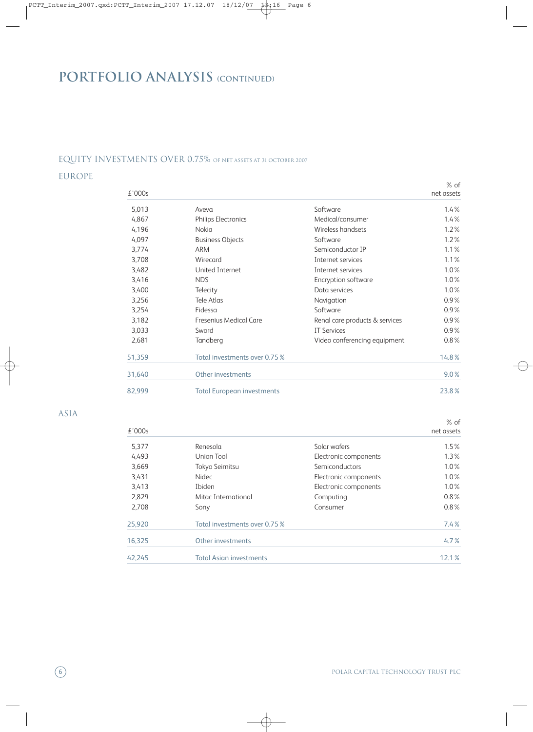# **PORTFOLIO ANALYSIS (continued)**

#### EQUITY INVESTMENTS OVER 0.75% of net assets at <sup>31</sup> october <sup>2007</sup>

#### EUROPE

| £'000s |                                   |                                | $%$ of<br>net assets |
|--------|-----------------------------------|--------------------------------|----------------------|
| 5,013  | Aveva                             | Software                       | 1.4%                 |
| 4,867  | Philips Electronics               | Medical/consumer               | 1.4%                 |
| 4,196  | Nokia                             | Wireless handsets              | 1.2%                 |
| 4,097  | <b>Business Objects</b>           | Software                       | 1.2%                 |
| 3,774  | <b>ARM</b>                        | Semiconductor IP               | 1.1%                 |
| 3,708  | Wirecard                          | Internet services              | 1.1%                 |
| 3,482  | United Internet                   | Internet services              | 1.0%                 |
| 3,416  | <b>NDS</b>                        | Encryption software            | 1.0%                 |
| 3,400  | Telecity                          | Data services                  | 1.0%                 |
| 3,256  | Tele Atlas                        | Navigation                     | $0.9\%$              |
| 3,254  | Fidessa                           | Software                       | $0.9\%$              |
| 3,182  | Fresenius Medical Care            | Renal care products & services | $0.9\%$              |
| 3,033  | Sword                             | <b>IT Services</b>             | $0.9\%$              |
| 2,681  | Tandberg                          | Video conferencing equipment   | 0.8%                 |
| 51,359 | Total investments over 0.75 %     |                                | 14.8%                |
| 31,640 | Other investments                 |                                | 9.0%                 |
| 82,999 | <b>Total European investments</b> |                                | 23.8%                |

ASIA

% of

| £'000s |                                |                       | net assets |
|--------|--------------------------------|-----------------------|------------|
| 5,377  | Renesola                       | Solar wafers          | 1.5%       |
| 4,493  | Union Tool                     | Electronic components | $1.3\%$    |
| 3,669  | Tokyo Seimitsu                 | Semiconductors        | $1.0\%$    |
| 3,431  | <b>Nidec</b>                   | Electronic components | $1.0\%$    |
| 3,413  | Ibiden                         | Electronic components | $1.0\%$    |
| 2,829  | Mitac International            | Computing             | $0.8\%$    |
| 2,708  | Sony                           | Consumer              | $0.8\%$    |
| 25,920 | Total investments over 0.75 %  |                       | 7.4%       |
| 16,325 | Other investments              |                       | 4.7%       |
| 42.245 | <b>Total Asian investments</b> |                       | 12.1%      |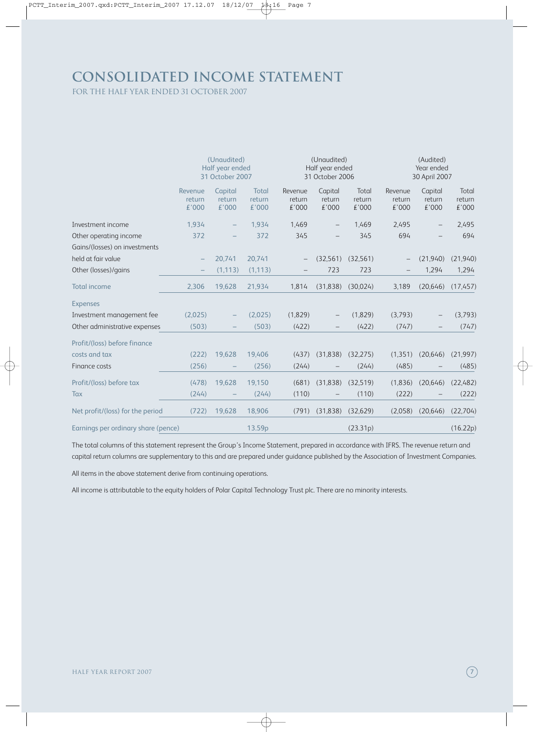## **Consolidated income statement**

for the half year ended 31 october 2007

|                                     | (Unaudited)<br>Half year ended<br>31 October 2007 |                            |                          | (Unaudited)<br>Half year ended<br>31 October 2006 |                            |                          | (Audited)<br>Year ended<br>30 April 2007 |                            |                          |
|-------------------------------------|---------------------------------------------------|----------------------------|--------------------------|---------------------------------------------------|----------------------------|--------------------------|------------------------------------------|----------------------------|--------------------------|
|                                     | Revenue<br>return<br>£'000                        | Capital<br>return<br>€'000 | Total<br>return<br>£'000 | Revenue<br>return<br>£'000                        | Capital<br>return<br>£'000 | Total<br>return<br>€'000 | Revenue<br>return<br>£'000               | Capital<br>return<br>£'000 | Total<br>return<br>£'000 |
| Investment income                   | 1,934                                             |                            | 1,934                    | 1,469                                             |                            | 1,469                    | 2,495                                    |                            | 2,495                    |
| Other operating income              | 372                                               |                            | 372                      | 345                                               |                            | 345                      | 694                                      |                            | 694                      |
| Gains/(losses) on investments       |                                                   |                            |                          |                                                   |                            |                          |                                          |                            |                          |
| held at fair value                  |                                                   | 20,741                     | 20,741                   |                                                   | (32,561)                   | (32, 561)                |                                          | (21,940)                   | (21,940)                 |
| Other (losses)/gains                |                                                   | (1, 113)                   | (1, 113)                 |                                                   | 723                        | 723                      |                                          | 1,294                      | 1,294                    |
| <b>Total income</b>                 | 2,306                                             | 19,628                     | 21,934                   | 1,814                                             | (31, 838)                  | (30,024)                 | 3,189                                    | (20, 646)                  | (17,457)                 |
| <b>Expenses</b>                     |                                                   |                            |                          |                                                   |                            |                          |                                          |                            |                          |
| Investment management fee           | (2,025)                                           |                            | (2,025)                  | (1,829)                                           |                            | (1,829)                  | (3,793)                                  |                            | (3,793)                  |
| Other administrative expenses       | (503)                                             |                            | (503)                    | (422)                                             |                            | (422)                    | (747)                                    |                            | (747)                    |
| Profit/(loss) before finance        |                                                   |                            |                          |                                                   |                            |                          |                                          |                            |                          |
| costs and tax                       | (222)                                             | 19,628                     | 19,406                   | (437)                                             | (31, 838)                  | (32, 275)                | (1, 351)                                 | (20, 646)                  | (21, 997)                |
| Finance costs                       | (256)                                             |                            | (256)                    | (244)                                             |                            | (244)                    | (485)                                    |                            | (485)                    |
| Profit/(loss) before tax            | (478)                                             | 19,628                     | 19,150                   | (681)                                             | (31, 838)                  | (32,519)                 | (1,836)                                  | (20, 646)                  | (22, 482)                |
| Tax                                 | (244)                                             |                            | (244)                    | (110)                                             |                            | (110)                    | (222)                                    |                            | (222)                    |
| Net profit/(loss) for the period    | (722)                                             | 19,628                     | 18,906                   | (791)                                             | (31, 838)                  | (32,629)                 | (2,058)                                  | (20, 646)                  | (22,704)                 |
| Earnings per ordinary share (pence) |                                                   |                            | 13.59p                   |                                                   |                            | (23.31p)                 |                                          |                            | (16.22p)                 |

The total columns of this statement represent the Group's Income Statement, prepared in accordance with IFRS. The revenue return and capital return columns are supplementary to this and are prepared under guidance published by the Association of Investment Companies.

All items in the above statement derive from continuing operations.

All income is attributable to the equity holders of Polar Capital Technology Trust plc. There are no minority interests.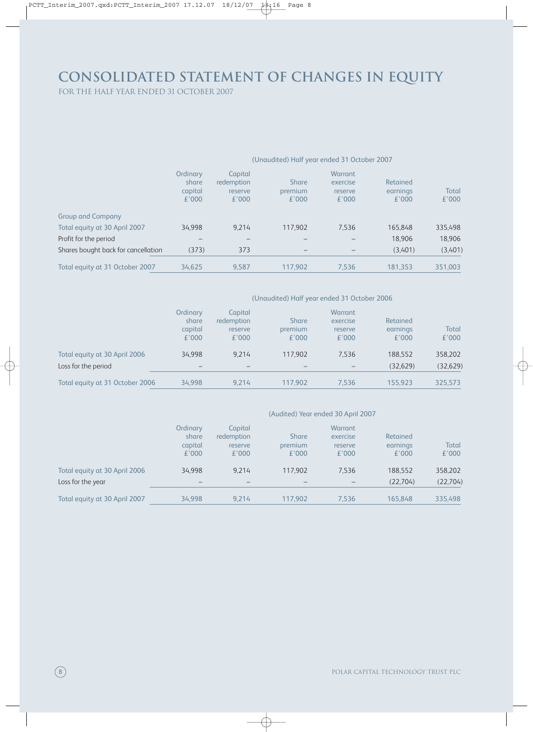# **Consolidated Statement of changes in equity**

for the half year ended 31 october 2007

#### (Unaudited) Half year ended 31 October 2007

|                                     | Ordinary<br>share<br>capital<br>£'000 | Capital<br>redemption<br>reserve<br>£'000 | <b>Share</b><br>premium<br>£'000 | <b>Warrant</b><br>exercise<br>reserve<br>£'000 | Retained<br>earnings<br>£'000 | Total<br>£'000 |
|-------------------------------------|---------------------------------------|-------------------------------------------|----------------------------------|------------------------------------------------|-------------------------------|----------------|
| <b>Group and Company</b>            |                                       |                                           |                                  |                                                |                               |                |
| Total equity at 30 April 2007       | 34.998                                | 9.214                                     | 117.902                          | 7,536                                          | 165,848                       | 335,498        |
| Profit for the period               |                                       |                                           |                                  |                                                | 18.906                        | 18,906         |
| Shares bought back for cancellation | (373)                                 | 373                                       |                                  |                                                | (3,401)                       | (3,401)        |
| Total equity at 31 October 2007     | 34,625                                | 9,587                                     | 117,902                          | 7,536                                          | 181,353                       | 351,003        |

#### (Unaudited) Half year ended 31 October 2006

|                                 | Ordinary | Capital    |         | Warrant                      |          |           |
|---------------------------------|----------|------------|---------|------------------------------|----------|-----------|
|                                 | share    | redemption | Share   | exercise                     | Retained |           |
|                                 | capital  | reserve    | premium | reserve                      | earnings | Total     |
|                                 | £'000    | £'000      | £'000   | £'000                        | £'000    | £'000     |
| Total equity at 30 April 2006   | 34.998   | 9.214      | 117.902 | 7.536                        | 188.552  | 358,202   |
| Loss for the period             |          |            |         | $\qquad \qquad \blacksquare$ | (32.629) | (32, 629) |
|                                 |          |            |         |                              |          |           |
| Total equity at 31 October 2006 | 34.998   | 9.214      | 117.902 | 7,536                        | 155.923  | 325,573   |

|                               |                                       |                                           |                                  | (Audited) Year ended 30 April 2007      |                               |                |
|-------------------------------|---------------------------------------|-------------------------------------------|----------------------------------|-----------------------------------------|-------------------------------|----------------|
|                               | Ordinary<br>share<br>capital<br>£'000 | Capital<br>redemption<br>reserve<br>£'000 | <b>Share</b><br>premium<br>£'000 | Warrant<br>exercise<br>reserve<br>£'000 | Retained<br>earnings<br>£'000 | Total<br>£'000 |
| Total equity at 30 April 2006 | 34.998                                | 9.214                                     | 117.902                          | 7,536                                   | 188,552                       | 358,202        |
| Loss for the year             |                                       | -                                         |                                  |                                         | (22,704)                      | (22,704)       |
| Total equity at 30 April 2007 | 34.998                                | 9.214                                     | 117.902                          | 7.536                                   | 165.848                       | 335.498        |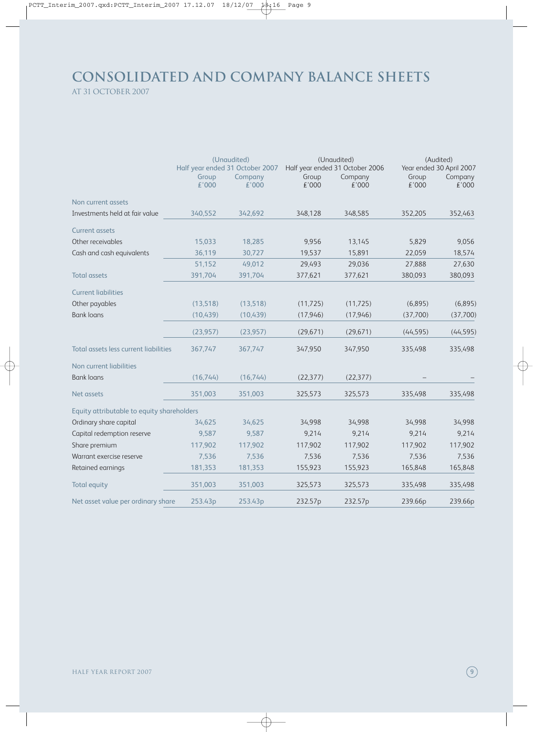### **Consolidated and company balance sheets** at 31 october 2007

|                                            | (Unaudited)<br>Half year ended 31 October 2007 |                  |                | (Unaudited)<br>Half year ended 31 October 2006 | (Audited)<br>Year ended 30 April 2007 |                  |
|--------------------------------------------|------------------------------------------------|------------------|----------------|------------------------------------------------|---------------------------------------|------------------|
|                                            | Group<br>£'000                                 | Company<br>€'000 | Group<br>£'000 | Company<br>£'000                               | Group<br>£'000                        | Company<br>£'000 |
| Non current assets                         |                                                |                  |                |                                                |                                       |                  |
| Investments held at fair value             | 340.552                                        | 342.692          | 348,128        | 348,585                                        | 352,205                               | 352,463          |
| <b>Current assets</b>                      |                                                |                  |                |                                                |                                       |                  |
| Other receivables                          | 15,033                                         | 18,285           | 9,956          | 13,145                                         | 5,829                                 | 9,056            |
| Cash and cash equivalents                  | 36,119                                         | 30,727           | 19,537         | 15,891                                         | 22,059                                | 18,574           |
|                                            | 51,152                                         | 49,012           | 29,493         | 29,036                                         | 27,888                                | 27,630           |
| <b>Total assets</b>                        | 391,704                                        | 391,704          | 377,621        | 377,621                                        | 380,093                               | 380,093          |
| <b>Current liabilities</b>                 |                                                |                  |                |                                                |                                       |                  |
| Other payables                             | (13,518)                                       | (13,518)         | (11, 725)      | (11, 725)                                      | (6,895)                               | (6,895)          |
| <b>Bank loans</b>                          | (10, 439)                                      | (10, 439)        | (17, 946)      | (17, 946)                                      | (37,700)                              | (37,700)         |
|                                            | (23, 957)                                      | (23, 957)        | (29, 671)      | (29, 671)                                      | (44, 595)                             | (44, 595)        |
| Total assets less current liabilities      | 367,747                                        | 367,747          | 347,950        | 347,950                                        | 335,498                               | 335,498          |
| Non current liabilities                    |                                                |                  |                |                                                |                                       |                  |
| <b>Bank loans</b>                          | (16,744)                                       | (16,744)         | (22, 377)      | (22, 377)                                      |                                       |                  |
| Net assets                                 | 351,003                                        | 351,003          | 325,573        | 325,573                                        | 335,498                               | 335,498          |
| Equity attributable to equity shareholders |                                                |                  |                |                                                |                                       |                  |
| Ordinary share capital                     | 34,625                                         | 34,625           | 34,998         | 34,998                                         | 34,998                                | 34,998           |
| Capital redemption reserve                 | 9,587                                          | 9,587            | 9,214          | 9,214                                          | 9,214                                 | 9,214            |
| Share premium                              | 117,902                                        | 117,902          | 117,902        | 117,902                                        | 117,902                               | 117,902          |
| Warrant exercise reserve                   | 7,536                                          | 7,536            | 7,536          | 7,536                                          | 7,536                                 | 7,536            |
| Retained earnings                          | 181,353                                        | 181,353          | 155,923        | 155,923                                        | 165,848                               | 165,848          |
| <b>Total equity</b>                        | 351,003                                        | 351,003          | 325,573        | 325,573                                        | 335,498                               | 335,498          |
| Net asset value per ordinary share         | 253.43p                                        | 253.43p          | 232.57p        | 232.57p                                        | 239.66p                               | 239.66p          |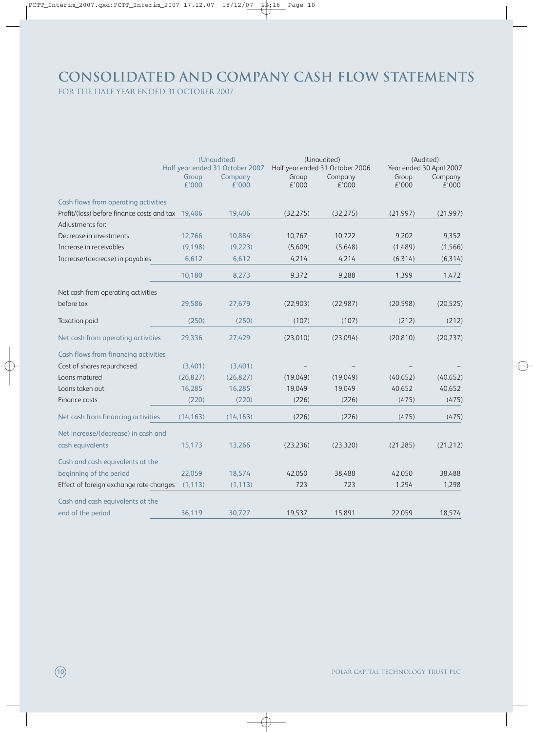# **Consolidated and company Cash Flow Statements**

for the half year ended 31 october 2007

|                                                   | (Unaudited)<br>Half year ended 31 October 2007 |                  | (Unaudited)<br>Half year ended 31 October 2006 |                  | (Audited)<br>Year ended 30 April 2007 |                  |
|---------------------------------------------------|------------------------------------------------|------------------|------------------------------------------------|------------------|---------------------------------------|------------------|
|                                                   | Group<br>€'000                                 | Company<br>€'000 | Group<br>£'000                                 | Company<br>£'000 | Group<br>£'000                        | Company<br>£'000 |
| Cash flows from operating activities              |                                                |                  |                                                |                  |                                       |                  |
| Profit/(loss) before finance costs and tax 19,406 |                                                | 19,406           | (32, 275)                                      | (32, 275)        | (21, 997)                             | (21, 997)        |
| Adjustments for:                                  |                                                |                  |                                                |                  |                                       |                  |
| Decrease in investments                           | 12,766                                         | 10,884           | 10,767                                         | 10,722           | 9,202                                 | 9,352            |
| Increase in receivables                           | (9,198)                                        | (9,223)          | (5,609)                                        | (5,648)          | (1,489)                               | (1, 566)         |
| Increase/(decrease) in payables                   | 6,612                                          | 6,612            | 4,214                                          | 4,214            | (6, 314)                              | (6, 314)         |
|                                                   | 10,180                                         | 8,273            | 9,372                                          | 9,288            | 1,399                                 | 1,472            |
| Net cash from operating activities                |                                                |                  |                                                |                  |                                       |                  |
| before tax                                        | 29,586                                         | 27,679           | (22,903)                                       | (22, 987)        | (20, 598)                             | (20, 525)        |
| <b>Taxation paid</b>                              | (250)                                          | (250)            | (107)                                          | (107)            | (212)                                 | (212)            |
| Net cash from operating activities                | 29,336                                         | 27,429           | (23,010)                                       | (23,094)         | (20, 810)                             | (20, 737)        |
| Cash flows from financing activities              |                                                |                  |                                                |                  |                                       |                  |
| Cost of shares repurchased                        | (3,401)                                        | (3,401)          |                                                |                  |                                       |                  |
| Loans matured                                     | (26, 827)                                      | (26, 827)        | (19,049)                                       | (19,049)         | (40, 652)                             | (40, 652)        |
| Loans taken out                                   | 16,285                                         | 16,285           | 19,049                                         | 19,049           | 40,652                                | 40,652           |
| Finance costs                                     | (220)                                          | (220)            | (226)                                          | (226)            | (475)                                 | (475)            |
| Net cash from financing activities                | (14, 163)                                      | (14, 163)        | (226)                                          | (226)            | (475)                                 | (475)            |
| Net increase/(decrease) in cash and               |                                                |                  |                                                |                  |                                       |                  |
| cash equivalents                                  | 15,173                                         | 13,266           | (23, 236)                                      | (23, 320)        | (21, 285)                             | (21, 212)        |
| Cash and cash equivalents at the                  |                                                |                  |                                                |                  |                                       |                  |
| beginning of the period                           | 22,059                                         | 18,574           | 42,050                                         | 38,488           | 42,050                                | 38,488           |
| Effect of foreign exchange rate changes           | (1, 113)                                       | (1, 113)         | 723                                            | 723              | 1,294                                 | 1,298            |
| Cash and cash equivalents at the                  |                                                |                  |                                                |                  |                                       |                  |
| end of the period                                 | 36,119                                         | 30,727           | 19,537                                         | 15,891           | 22,059                                | 18,574           |

10 Polar Capital Technology Trust PLC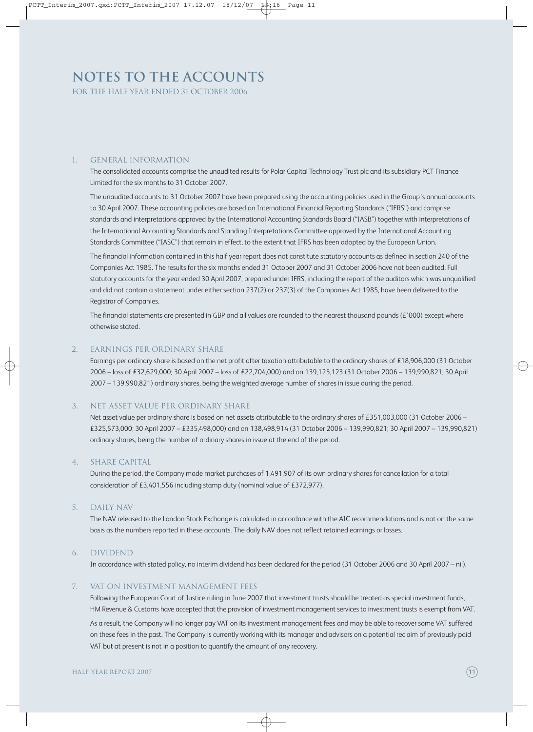# **Notes to the Accounts**

for the half year ended 31 october 2006

#### 1. General Information

The consolidated accounts comprise the unaudited results for Polar Capital Technology Trust plc and its subsidiary PCT Finance Limited for the six months to 31 October 2007.

The unaudited accounts to 31 October 2007 have been prepared using the accounting policies used in the Group's annual accounts to 30 April 2007. These accounting policies are based on International Financial Reporting Standards ("IFRS") and comprise standards and interpretations approved by the International Accounting Standards Board ("IASB") together with interpretations of the International Accounting Standards and Standing Interpretations Committee approved by the International Accounting Standards Committee ("IASC") that remain in effect, to the extent that IFRS has been adopted by the European Union.

The financial information contained in this half year report does not constitute statutory accounts as defined in section 240 of the Companies Act 1985. The results for the six months ended 31 October 2007 and 31 October 2006 have not been audited. Full statutory accounts for the year ended 30 April 2007, prepared under IFRS, including the report of the auditors which was unqualified and did not contain a statement under either section 237(2) or 237(3) of the Companies Act 1985, have been delivered to the Registrar of Companies.

The financial statements are presented in GBP and all values are rounded to the nearest thousand pounds ( $E'$ 000) except where otherwise stated.

#### 2. Earnings per ordinary share

Earnings per ordinary share is based on the net profit after taxation attributable to the ordinary shares of £18,906,000 (31 October 2006 – loss of £32,629,000; 30 April 2007 – loss of £22,704,000) and on 139,125,123 (31 October 2006 – 139,990,821; 30 April 2007 – 139,990,821) ordinary shares, being the weighted average number of shares in issue during the period.

#### 3. Net asset value per ordinary share

Net asset value per ordinary share is based on net assets attributable to the ordinary shares of £351,003,000 (31 October 2006 – £325,573,000; 30 April 2007 – £335,498,000) and on 138,498,914 (31 October 2006 – 139,990,821; 30 April 2007 – 139,990,821) ordinary shares, being the number of ordinary shares in issue at the end of the period.

#### 4. Share capital

During the period, the Company made market purchases of 1,491,907 of its own ordinary shares for cancellation for a total consideration of £3,401,556 including stamp duty (nominal value of £372,977).

#### 5. Daily NAV

The NAV released to the London Stock Exchange is calculated in accordance with the AIC recommendations and is not on the same basis as the numbers reported in these accounts. The daily NAV does not reflect retained earnings or losses.

#### 6. Dividend

In accordance with stated policy, no interim dividend has been declared for the period (31 October 2006 and 30 April 2007 – nil).

#### 7. VAT on investment management fees

Following the European Court of Justice ruling in June 2007 that investment trusts should be treated as special investment funds, HM Revenue & Customs have accepted that the provision of investment management services to investment trusts is exempt from VAT.

As a result, the Company will no longer pay VAT on its investment management fees and may be able to recover some VAT suffered on these fees in the past. The Company is currently working with its manager and advisors on a potential reclaim of previously paid VAT but at present is not in a position to quantify the amount of any recovery.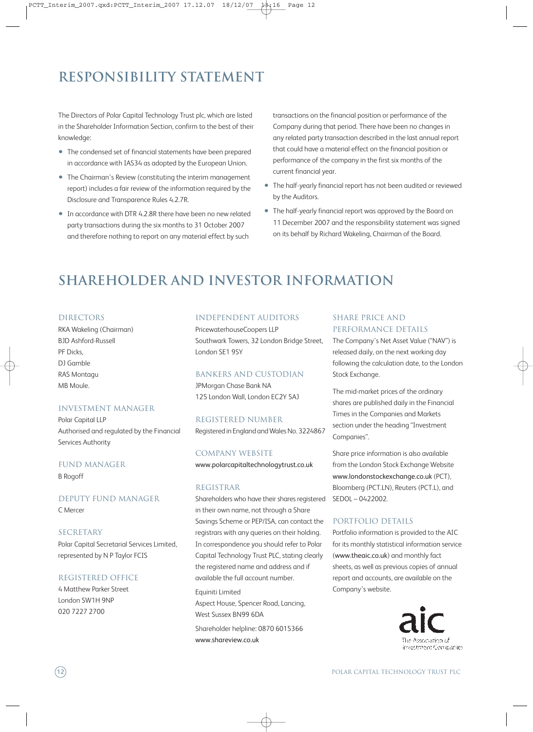# **Responsibility Statement**

The Directors of Polar Capital Technology Trust plc, which are listed in the Shareholder Information Section, confirm to the best of their knowledge:

- The condensed set of financial statements have been prepared in accordance with IAS34 as adopted by the European Union.
- The Chairman's Review (constituting the interim management report) includes a fair review of the information required by the Disclosure and Transparence Rules 4.2.7R.
- In accordance with DTR 4.2.8R there have been no new related party transactions during the six months to 31 October 2007 and therefore nothing to report on any material effect by such

transactions on the financial position or performance of the Company during that period. There have been no changes in any related party transaction described in the last annual report that could have a material effect on the financial position or performance of the company in the first six months of the current financial year.

- The half-yearly financial report has not been audited or reviewed by the Auditors.
- The half-yearly financial report was approved by the Board on 11 December 2007 and the responsibility statement was signed on its behalf by Richard Wakeling, Chairman of the Board.

### **shareholder and investor information**

#### **DIRECTORS**

RKA Wakeling (Chairman) BJD Ashford-Russell PF Dicks, DJ Gamble RAS Montagu MB Moule.

#### Investment Manager

Polar Capital LLP Authorised and regulated by the Financial Services Authority

#### Fund Manager B Rogoff

Deputy Fund Manager C Mercer

SECRETARY Polar Capital Secretarial Services Limited, represented by N P Taylor FCIS

#### Registered Office

4 Matthew Parker Street London SW1H 9NP 020 7227 2700

#### independent Auditors

PricewaterhouseCoopers LLP Southwark Towers, 32 London Bridge Street, London SE1 9SY

#### Bankers and Custodian

JPMorgan Chase Bank NA 125 London Wall, London EC2Y 5AJ

#### Registered Number

Registered in England and Wales No. 3224867

#### Company Website

www.polarcapitaltechnologytrust.co.uk

#### **REGISTRAR**

Shareholders who have their shares registered in their own name, not through a Share Savings Scheme or PEP/ISA, can contact the registrars with any queries on their holding. In correspondence you should refer to Polar Capital Technology Trust PLC, stating clearly the registered name and address and if available the full account number.

Equiniti Limited Aspect House, Spencer Road, Lancing, West Sussex BN99 6DA

Shareholder helpline: 0870 6015366 www.shareview.co.uk

#### SHARE PRICE AND PERFORMANCE DETAILS

The Company's Net Asset Value ("NAV") is released daily, on the next working day following the calculation date, to the London Stock Exchange.

The mid-market prices of the ordinary shares are published daily in the Financial Times in the Companies and Markets section under the heading "Investment Companies".

Share price information is also available from the London Stock Exchange Website www.londonstockexchange.co.uk (PCT), Bloomberg (PCT.LN), Reuters (PCT.L), and SEDOL – 0422002.

#### Portfolio details

Portfolio information is provided to the AIC for its monthly statistical information service (www.theaic.co.uk) and monthly fact sheets, as well as previous copies of annual report and accounts, are available on the Company's website.



12 Polar Capital Technology Trust PLC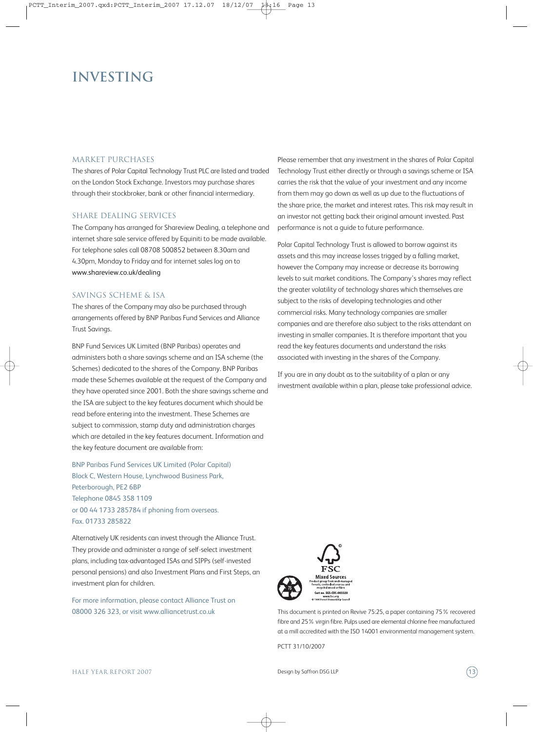### **investing**

#### MARKET PURCHASES

The shares of Polar Capital Technology Trust PLC are listed and traded on the London Stock Exchange. Investors may purchase shares through their stockbroker, bank or other financial intermediary.

#### Share dealing services

The Company has arranged for Shareview Dealing, a telephone and internet share sale service offered by Equiniti to be made available. For telephone sales call 08708 500852 between 8.30am and 4.30pm, Monday to Friday and for internet sales log on to www.shareview.co.uk/dealing

#### Savings scheme & ISA

The shares of the Company may also be purchased through arrangements offered by BNP Paribas Fund Services and Alliance Trust Savings.

BNP Fund Services UK Limited (BNP Paribas) operates and administers both a share savings scheme and an ISA scheme (the Schemes) dedicated to the shares of the Company. BNP Paribas made these Schemes available at the request of the Company and they have operated since 2001. Both the share savings scheme and the ISA are subject to the key features document which should be read before entering into the investment. These Schemes are subject to commission, stamp duty and administration charges which are detailed in the key features document. Information and the key feature document are available from:

BNP Paribas Fund Services UK Limited (Polar Capital) Block C, Western House, Lynchwood Business Park, Peterborough, PE2 6BP Telephone 0845 358 1109 or 00 44 1733 285784 if phoning from overseas. Fax. 01733 285822

Alternatively UK residents can invest through the Alliance Trust. They provide and administer a range of self-select investment plans, including tax-advantaged ISAs and SIPPs (self-invested personal pensions) and also Investment Plans and First Steps, an investment plan for children.

For more information, please contact Alliance Trust on 08000 326 323, or visit www.alliancetrust.co.uk

Please remember that any investment in the shares of Polar Capital Technology Trust either directly or through a savings scheme or ISA carries the risk that the value of your investment and any income from them may go down as well as up due to the fluctuations of the share price, the market and interest rates. This risk may result in an investor not getting back their original amount invested. Past performance is not a guide to future performance.

Polar Capital Technology Trust is allowed to borrow against its assets and this may increase losses trigged by a falling market, however the Company may increase or decrease its borrowing levels to suit market conditions. The Company's shares may reflect the greater volatility of technology shares which themselves are subject to the risks of developing technologies and other commercial risks. Many technology companies are smaller companies and are therefore also subject to the risks attendant on investing in smaller companies. It is therefore important that you read the key features documents and understand the risks associated with investing in the shares of the Company.

If you are in any doubt as to the suitability of a plan or any investment available within a plan, please take professional advice.



This document is printed on Revive 75:25, a paper containing 75% recovered fibre and 25% virgin fibre. Pulps used are elemental chlorine free manufactured at a mill accredited with the ISO 14001 environmental management system.

PCTT 31/10/2007